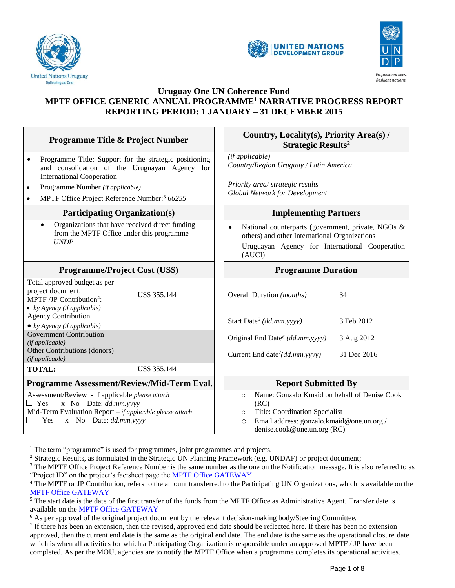

 $\overline{a}$ 





## **Uruguay One UN Coherence Fund MPTF OFFICE GENERIC ANNUAL PROGRAMME<sup>1</sup> NARRATIVE PROGRESS REPORT REPORTING PERIOD: 1 JANUARY – 31 DECEMBER 2015**

| <b>Programme Title &amp; Project Number</b>                                                                                                                                                  |              |                                                                                                                                                       | Country, Locality(s), Priority Area(s) /<br><b>Strategic Results<sup>2</sup></b> |                                                               |  |                                                                                           |
|----------------------------------------------------------------------------------------------------------------------------------------------------------------------------------------------|--------------|-------------------------------------------------------------------------------------------------------------------------------------------------------|----------------------------------------------------------------------------------|---------------------------------------------------------------|--|-------------------------------------------------------------------------------------------|
| Programme Title: Support for the strategic positioning<br>$\bullet$<br>and consolidation of the Uruguayan Agency for<br><b>International Cooperation</b>                                     |              | (if applicable)<br>Country/Region Uruguay / Latin America                                                                                             |                                                                                  |                                                               |  |                                                                                           |
| Programme Number (if applicable)<br>٠<br>MPTF Office Project Reference Number: <sup>3</sup> 66255                                                                                            |              | Priority area/ strategic results<br><b>Global Network for Development</b>                                                                             |                                                                                  |                                                               |  |                                                                                           |
| <b>Participating Organization(s)</b>                                                                                                                                                         |              |                                                                                                                                                       |                                                                                  | <b>Implementing Partners</b>                                  |  |                                                                                           |
| Organizations that have received direct funding<br>$\bullet$<br>from the MPTF Office under this programme<br><b>UNDP</b>                                                                     |              | National counterparts (government, private, NGOs &<br>others) and other International Organizations<br>Uruguayan Agency for International Cooperation |                                                                                  |                                                               |  |                                                                                           |
|                                                                                                                                                                                              |              |                                                                                                                                                       | (AUCI)                                                                           |                                                               |  |                                                                                           |
| <b>Programme/Project Cost (US\$)</b>                                                                                                                                                         |              |                                                                                                                                                       |                                                                                  | <b>Programme Duration</b>                                     |  |                                                                                           |
| Total approved budget as per<br>project document:<br>MPTF /JP Contribution <sup>4</sup> :<br>• by Agency (if applicable)                                                                     | US\$ 355.144 |                                                                                                                                                       | Overall Duration (months)                                                        |                                                               |  | 34                                                                                        |
| <b>Agency Contribution</b><br>$\bullet$ by Agency (if applicable)                                                                                                                            |              |                                                                                                                                                       | Start Date <sup>5</sup> (dd.mm.yyyy)                                             |                                                               |  | 3 Feb 2012                                                                                |
| <b>Government Contribution</b><br>(if applicable)                                                                                                                                            |              |                                                                                                                                                       | Original End Date <sup>6</sup> (dd.mm.yyyy)                                      |                                                               |  | 3 Aug 2012                                                                                |
| Other Contributions (donors)<br>(if applicable)                                                                                                                                              |              |                                                                                                                                                       | Current End date <sup>7</sup> ( <i>dd.mm.yyyy</i> )                              |                                                               |  | 31 Dec 2016                                                                               |
| <b>TOTAL:</b>                                                                                                                                                                                | US\$ 355.144 |                                                                                                                                                       |                                                                                  |                                                               |  |                                                                                           |
| Programme Assessment/Review/Mid-Term Eval.                                                                                                                                                   |              |                                                                                                                                                       |                                                                                  | <b>Report Submitted By</b>                                    |  |                                                                                           |
| Assessment/Review - if applicable please attach<br>$\Box$ Yes<br>x No Date: dd.mm.yyyy<br>Mid-Term Evaluation Report - if applicable please attach<br>Yes<br>x No Date: dd.mm.yyyy<br>$\Box$ |              |                                                                                                                                                       | $\circ$<br>(RC)<br>$\circ$<br>$\circ$                                            | Title: Coordination Specialist<br>denise.cook@one.un.org (RC) |  | Name: Gonzalo Kmaid on behalf of Denise Cook<br>Email address: gonzalo.kmaid@one.un.org / |

<sup>&</sup>lt;sup>1</sup> The term "programme" is used for programmes, joint programmes and projects.

<sup>&</sup>lt;sup>2</sup> Strategic Results, as formulated in the Strategic UN Planning Framework (e.g. UNDAF) or project document;

<sup>&</sup>lt;sup>3</sup> The MPTF Office Project Reference Number is the same number as the one on the Notification message. It is also referred to as "Project ID" on the project's factsheet page the [MPTF Office GATEWAY](http://mdtf.undp.org/)

<sup>4</sup> The MPTF or JP Contribution, refers to the amount transferred to the Participating UN Organizations, which is available on the [MPTF Office GATEWAY](http://mdtf.undp.org/)

<sup>&</sup>lt;sup>5</sup> The start date is the date of the first transfer of the funds from the MPTF Office as Administrative Agent. Transfer date is available on the [MPTF Office GATEWAY](http://mdtf.undp.org/)

<sup>&</sup>lt;sup>6</sup> As per approval of the original project document by the relevant decision-making body/Steering Committee.

 $<sup>7</sup>$  If there has been an extension, then the revised, approved end date should be reflected here. If there has been no extension</sup> approved, then the current end date is the same as the original end date. The end date is the same as the operational closure date which is when all activities for which a Participating Organization is responsible under an approved MPTF / JP have been completed. As per the MOU, agencies are to notify the MPTF Office when a programme completes its operational activities.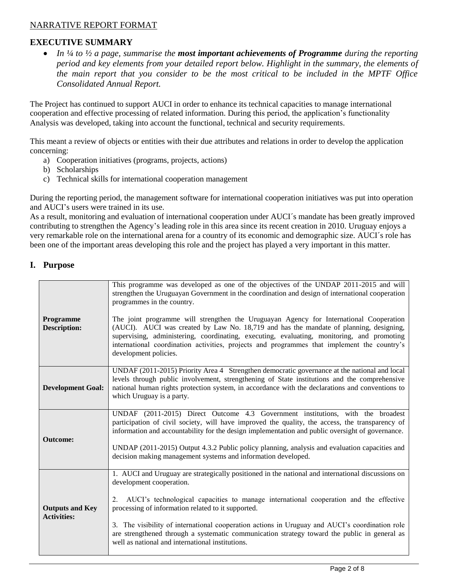## NARRATIVE REPORT FORMAT

## **EXECUTIVE SUMMARY**

 *In ¼ to ½ a page, summarise the most important achievements of Programme during the reporting period and key elements from your detailed report below. Highlight in the summary, the elements of the main report that you consider to be the most critical to be included in the MPTF Office Consolidated Annual Report.* 

The Project has continued to support AUCI in order to enhance its technical capacities to manage international cooperation and effective processing of related information. During this period, the application's functionality Analysis was developed, taking into account the functional, technical and security requirements.

This meant a review of objects or entities with their due attributes and relations in order to develop the application concerning:

- a) Cooperation initiatives (programs, projects, actions)
- b) Scholarships
- c) Technical skills for international cooperation management

During the reporting period, the management software for international cooperation initiatives was put into operation and AUCI's users were trained in its use.

As a result, monitoring and evaluation of international cooperation under AUCI´s mandate has been greatly improved contributing to strengthen the Agency's leading role in this area since its recent creation in 2010. Uruguay enjoys a very remarkable role on the international arena for a country of its economic and demographic size. AUCI´s role has been one of the important areas developing this role and the project has played a very important in this matter.

#### **I. Purpose**

| Programme<br><b>Description:</b>             | This programme was developed as one of the objectives of the UNDAP 2011-2015 and will<br>strengthen the Uruguayan Government in the coordination and design of international cooperation<br>programmes in the country.<br>The joint programme will strengthen the Uruguayan Agency for International Cooperation<br>(AUCI). AUCI was created by Law No. 18,719 and has the mandate of planning, designing,<br>supervising, administering, coordinating, executing, evaluating, monitoring, and promoting<br>international coordination activities, projects and programmes that implement the country's<br>development policies. |
|----------------------------------------------|----------------------------------------------------------------------------------------------------------------------------------------------------------------------------------------------------------------------------------------------------------------------------------------------------------------------------------------------------------------------------------------------------------------------------------------------------------------------------------------------------------------------------------------------------------------------------------------------------------------------------------|
| <b>Development Goal:</b>                     | UNDAF (2011-2015) Priority Area 4 Strengthen democratic governance at the national and local<br>levels through public involvement, strengthening of State institutions and the comprehensive<br>national human rights protection system, in accordance with the declarations and conventions to<br>which Uruguay is a party.                                                                                                                                                                                                                                                                                                     |
| <b>Outcome:</b>                              | UNDAF (2011-2015) Direct Outcome 4.3 Government institutions, with the broadest<br>participation of civil society, will have improved the quality, the access, the transparency of<br>information and accountability for the design implementation and public oversight of governance.<br>UNDAP (2011-2015) Output 4.3.2 Public policy planning, analysis and evaluation capacities and<br>decision making management systems and information developed.                                                                                                                                                                         |
| <b>Outputs and Key</b><br><b>Activities:</b> | 1. AUCI and Uruguay are strategically positioned in the national and international discussions on<br>development cooperation.<br>AUCI's technological capacities to manage international cooperation and the effective<br>$2_{1}$<br>processing of information related to it supported.<br>3. The visibility of international cooperation actions in Uruguay and AUCI's coordination role<br>are strengthened through a systematic communication strategy toward the public in general as<br>well as national and international institutions.                                                                                    |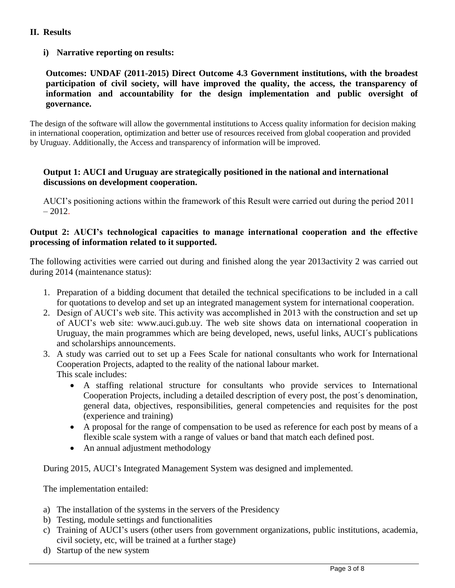# **II. Results**

# **i) Narrative reporting on results:**

**Outcomes: UNDAF (2011-2015) Direct Outcome 4.3 Government institutions, with the broadest participation of civil society, will have improved the quality, the access, the transparency of information and accountability for the design implementation and public oversight of governance.**

The design of the software will allow the governmental institutions to Access quality information for decision making in international cooperation, optimization and better use of resources received from global cooperation and provided by Uruguay. Additionally, the Access and transparency of information will be improved.

## **Output 1: AUCI and Uruguay are strategically positioned in the national and international discussions on development cooperation.**

AUCI's positioning actions within the framework of this Result were carried out during the period 2011  $-2012.$ 

#### **Output 2: AUCI's technological capacities to manage international cooperation and the effective processing of information related to it supported.**

The following activities were carried out during and finished along the year 2013activity 2 was carried out during 2014 (maintenance status):

- 1. Preparation of a bidding document that detailed the technical specifications to be included in a call for quotations to develop and set up an integrated management system for international cooperation.
- 2. Design of AUCI's web site. This activity was accomplished in 2013 with the construction and set up of AUCI's web site: [www.auci.gub.uy.](http://www.auci.gub.uy/) The web site shows data on international cooperation in Uruguay, the main programmes which are being developed, news, useful links, AUCI´s publications and scholarships announcements.
- 3. A study was carried out to set up a Fees Scale for national consultants who work for International Cooperation Projects, adapted to the reality of the national labour market. This scale includes:
	- A staffing relational structure for consultants who provide services to International Cooperation Projects, including a detailed description of every post, the post´s denomination, general data, objectives, responsibilities, general competencies and requisites for the post (experience and training)
	- A proposal for the range of compensation to be used as reference for each post by means of a flexible scale system with a range of values or band that match each defined post.
	- An annual adjustment methodology

During 2015, AUCI's Integrated Management System was designed and implemented.

The implementation entailed:

- a) The installation of the systems in the servers of the Presidency
- b) Testing, module settings and functionalities
- c) Training of AUCI's users (other users from government organizations, public institutions, academia, civil society, etc, will be trained at a further stage)
- d) Startup of the new system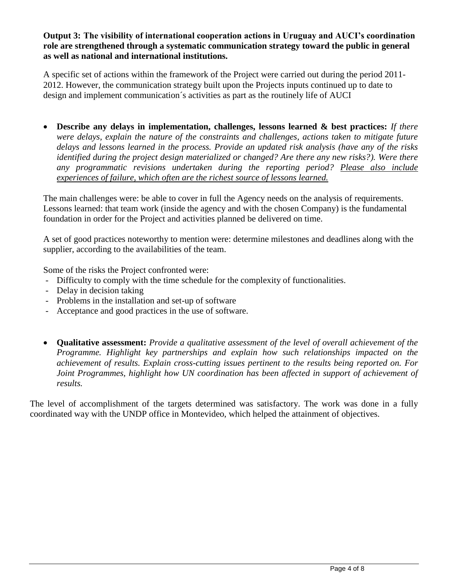**Output 3: The visibility of international cooperation actions in Uruguay and AUCI's coordination role are strengthened through a systematic communication strategy toward the public in general as well as national and international institutions.**

A specific set of actions within the framework of the Project were carried out during the period 2011- 2012. However, the communication strategy built upon the Projects inputs continued up to date to design and implement communication´s activities as part as the routinely life of AUCI

 **Describe any delays in implementation, challenges, lessons learned & best practices:** *If there were delays, explain the nature of the constraints and challenges, actions taken to mitigate future delays and lessons learned in the process. Provide an updated risk analysis (have any of the risks identified during the project design materialized or changed? Are there any new risks?). Were there any programmatic revisions undertaken during the reporting period? Please also include experiences of failure, which often are the richest source of lessons learned.*

The main challenges were: be able to cover in full the Agency needs on the analysis of requirements. Lessons learned: that team work (inside the agency and with the chosen Company) is the fundamental foundation in order for the Project and activities planned be delivered on time.

A set of good practices noteworthy to mention were: determine milestones and deadlines along with the supplier, according to the availabilities of the team.

Some of the risks the Project confronted were:

- Difficulty to comply with the time schedule for the complexity of functionalities.
- Delay in decision taking
- Problems in the installation and set-up of software
- Acceptance and good practices in the use of software.
- **Qualitative assessment:** *Provide a qualitative assessment of the level of overall achievement of the Programme. Highlight key partnerships and explain how such relationships impacted on the achievement of results. Explain cross-cutting issues pertinent to the results being reported on. For Joint Programmes, highlight how UN coordination has been affected in support of achievement of results.*

The level of accomplishment of the targets determined was satisfactory. The work was done in a fully coordinated way with the UNDP office in Montevideo, which helped the attainment of objectives.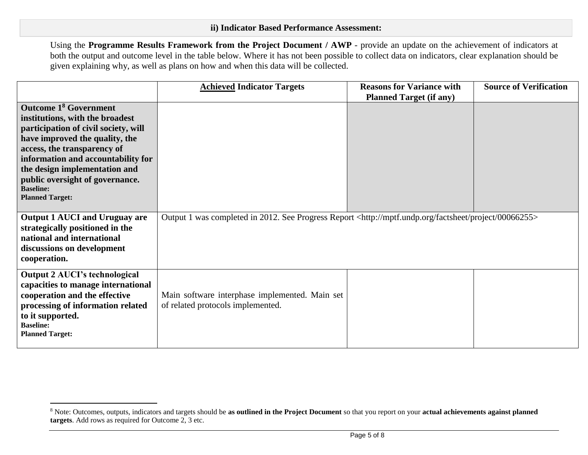Using the **Programme Results Framework from the Project Document / AWP** - provide an update on the achievement of indicators at both the output and outcome level in the table below. Where it has not been possible to collect data on indicators, clear explanation should be given explaining why, as well as plans on how and when this data will be collected.

|                                                                                                                                                                                                                                                                                                                                             | <b>Achieved Indicator Targets</b>                                                                                        | <b>Reasons for Variance with</b><br><b>Planned Target (if any)</b> | <b>Source of Verification</b> |
|---------------------------------------------------------------------------------------------------------------------------------------------------------------------------------------------------------------------------------------------------------------------------------------------------------------------------------------------|--------------------------------------------------------------------------------------------------------------------------|--------------------------------------------------------------------|-------------------------------|
| <b>Outcome 1<sup>8</sup> Government</b><br>institutions, with the broadest<br>participation of civil society, will<br>have improved the quality, the<br>access, the transparency of<br>information and accountability for<br>the design implementation and<br>public oversight of governance.<br><b>Baseline:</b><br><b>Planned Target:</b> |                                                                                                                          |                                                                    |                               |
| <b>Output 1 AUCI and Uruguay are</b><br>strategically positioned in the<br>national and international<br>discussions on development<br>cooperation.                                                                                                                                                                                         | Output 1 was completed in 2012. See Progress Report <http: 00066255="" factsheet="" mptf.undp.org="" project=""></http:> |                                                                    |                               |
| <b>Output 2 AUCI's technological</b><br>capacities to manage international<br>cooperation and the effective<br>processing of information related<br>to it supported.<br><b>Baseline:</b><br><b>Planned Target:</b>                                                                                                                          | Main software interphase implemented. Main set<br>of related protocols implemented.                                      |                                                                    |                               |

 $\overline{a}$ 

<sup>8</sup> Note: Outcomes, outputs, indicators and targets should be **as outlined in the Project Document** so that you report on your **actual achievements against planned targets**. Add rows as required for Outcome 2, 3 etc.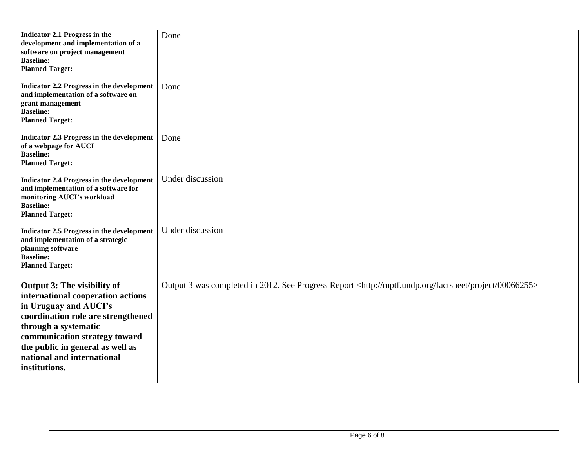| Indicator 2.1 Progress in the<br>development and implementation of a<br>software on project management<br><b>Baseline:</b><br><b>Planned Target:</b><br><b>Indicator 2.2 Progress in the development</b>                                                                    | Done<br>Done                                                                                                             |  |
|-----------------------------------------------------------------------------------------------------------------------------------------------------------------------------------------------------------------------------------------------------------------------------|--------------------------------------------------------------------------------------------------------------------------|--|
| and implementation of a software on<br>grant management<br><b>Baseline:</b><br><b>Planned Target:</b>                                                                                                                                                                       |                                                                                                                          |  |
| <b>Indicator 2.3 Progress in the development</b><br>of a webpage for AUCI<br><b>Baseline:</b><br><b>Planned Target:</b>                                                                                                                                                     | Done                                                                                                                     |  |
| <b>Indicator 2.4 Progress in the development</b><br>and implementation of a software for<br>monitoring AUCI's workload<br><b>Baseline:</b><br><b>Planned Target:</b>                                                                                                        | Under discussion                                                                                                         |  |
| <b>Indicator 2.5 Progress in the development</b><br>and implementation of a strategic<br>planning software<br><b>Baseline:</b><br><b>Planned Target:</b>                                                                                                                    | Under discussion                                                                                                         |  |
| Output 3: The visibility of<br>international cooperation actions<br>in Uruguay and AUCI's<br>coordination role are strengthened<br>through a systematic<br>communication strategy toward<br>the public in general as well as<br>national and international<br>institutions. | Output 3 was completed in 2012. See Progress Report <http: 00066255="" factsheet="" mptf.undp.org="" project=""></http:> |  |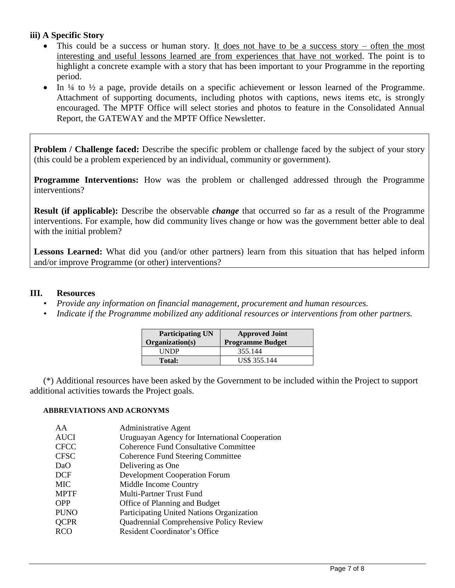## **iii) A Specific Story**

- This could be a success or human story. It does not have to be a success story often the most interesting and useful lessons learned are from experiences that have not worked. The point is to highlight a concrete example with a story that has been important to your Programme in the reporting period.
- $\bullet$  In ¼ to ½ a page, provide details on a specific achievement or lesson learned of the Programme. Attachment of supporting documents, including photos with captions, news items etc, is strongly encouraged. The MPTF Office will select stories and photos to feature in the Consolidated Annual Report, the GATEWAY and the MPTF Office Newsletter.

**Problem / Challenge faced:** Describe the specific problem or challenge faced by the subject of your story (this could be a problem experienced by an individual, community or government).

**Programme Interventions:** How was the problem or challenged addressed through the Programme interventions?

**Result (if applicable):** Describe the observable *change* that occurred so far as a result of the Programme interventions. For example, how did community lives change or how was the government better able to deal with the initial problem?

**Lessons Learned:** What did you (and/or other partners) learn from this situation that has helped inform and/or improve Programme (or other) interventions?

## **III. Resources**

- *• Provide any information on financial management, procurement and human resources.*
- *• Indicate if the Programme mobilized any additional resources or interventions from other partners.*

| <b>Participating UN</b><br>Organization(s) | <b>Approved Joint</b><br><b>Programme Budget</b> |
|--------------------------------------------|--------------------------------------------------|
| UNDP                                       | 355.144                                          |
| Total:                                     | US\$ 355.144                                     |

(\*) Additional resources have been asked by the Government to be included within the Project to support additional activities towards the Project goals.

#### **ABBREVIATIONS AND ACRONYMS**

| AA          | <b>Administrative Agent</b>                    |
|-------------|------------------------------------------------|
| <b>AUCI</b> | Uruguayan Agency for International Cooperation |
| <b>CFCC</b> | <b>Coherence Fund Consultative Committee</b>   |
| <b>CFSC</b> | <b>Coherence Fund Steering Committee</b>       |
| DaO         | Delivering as One                              |
| <b>DCF</b>  | <b>Development Cooperation Forum</b>           |
| <b>MIC</b>  | Middle Income Country                          |
| <b>MPTF</b> | Multi-Partner Trust Fund                       |
| <b>OPP</b>  | Office of Planning and Budget                  |
| <b>PUNO</b> | Participating United Nations Organization      |
| <b>QCPR</b> | Quadrennial Comprehensive Policy Review        |
| <b>RCO</b>  | <b>Resident Coordinator's Office</b>           |